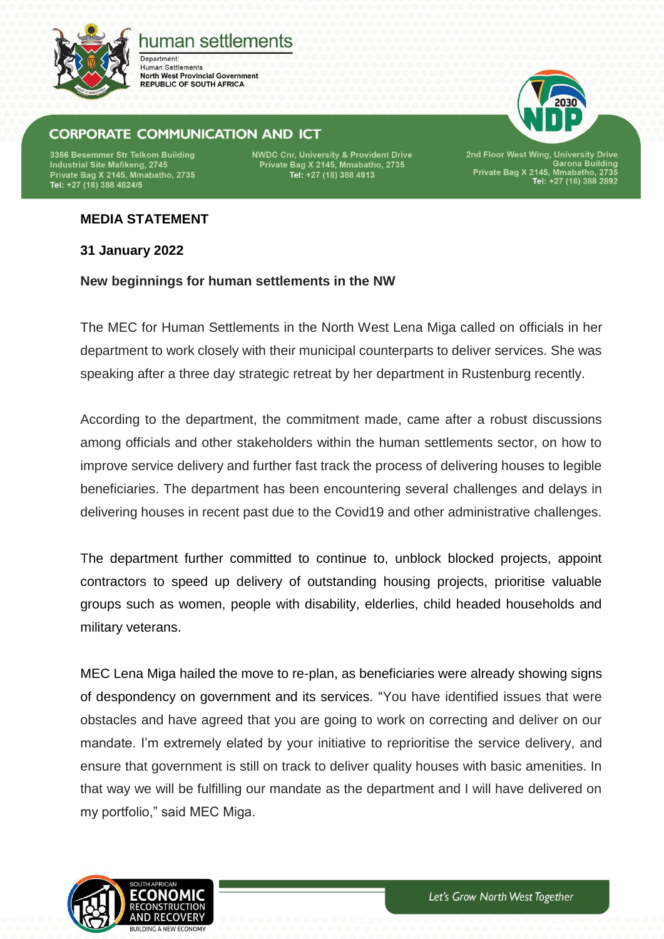

# human settlements

Department: **Human Settlements North West Provincial Government REPUBLIC OF SOUTH AFRICA** 

## **CORPORATE COMMUNICATION AND ICT**

3366 Besemmer Str Telkom Building Industrial Site Mafikeng, 2745 Private Bag X 2145, Mmabatho, 2735<br>Tel: +27 (18) 388 4824/5 **NWDC Cnr, University & Provident Drive** Private Bag X 2145, Mmabatho, 2735<br>Tel: +27 (18) 388 4913

2nd Floor West Wing, University Drive<br>Garona Building<br>Private Bag X 2145, Mmabatho, 2735<br>Tel: +27 (18) 388 2892

### **MEDIA STATEMENT**

**31 January 2022**

#### **New beginnings for human settlements in the NW**

The MEC for Human Settlements in the North West Lena Miga called on officials in her department to work closely with their municipal counterparts to deliver services. She was speaking after a three day strategic retreat by her department in Rustenburg recently.

According to the department, the commitment made, came after a robust discussions among officials and other stakeholders within the human settlements sector, on how to improve service delivery and further fast track the process of delivering houses to legible beneficiaries. The department has been encountering several challenges and delays in delivering houses in recent past due to the Covid19 and other administrative challenges.

The department further committed to continue to, unblock blocked projects, appoint contractors to speed up delivery of outstanding housing projects, prioritise valuable groups such as women, people with disability, elderlies, child headed households and military veterans.

MEC Lena Miga hailed the move to re-plan, as beneficiaries were already showing signs of despondency on government and its services. "You have identified issues that were obstacles and have agreed that you are going to work on correcting and deliver on our mandate. I'm extremely elated by your initiative to reprioritise the service delivery, and ensure that government is still on track to deliver quality houses with basic amenities. In that way we will be fulfilling our mandate as the department and I will have delivered on my portfolio," said MEC Miga.